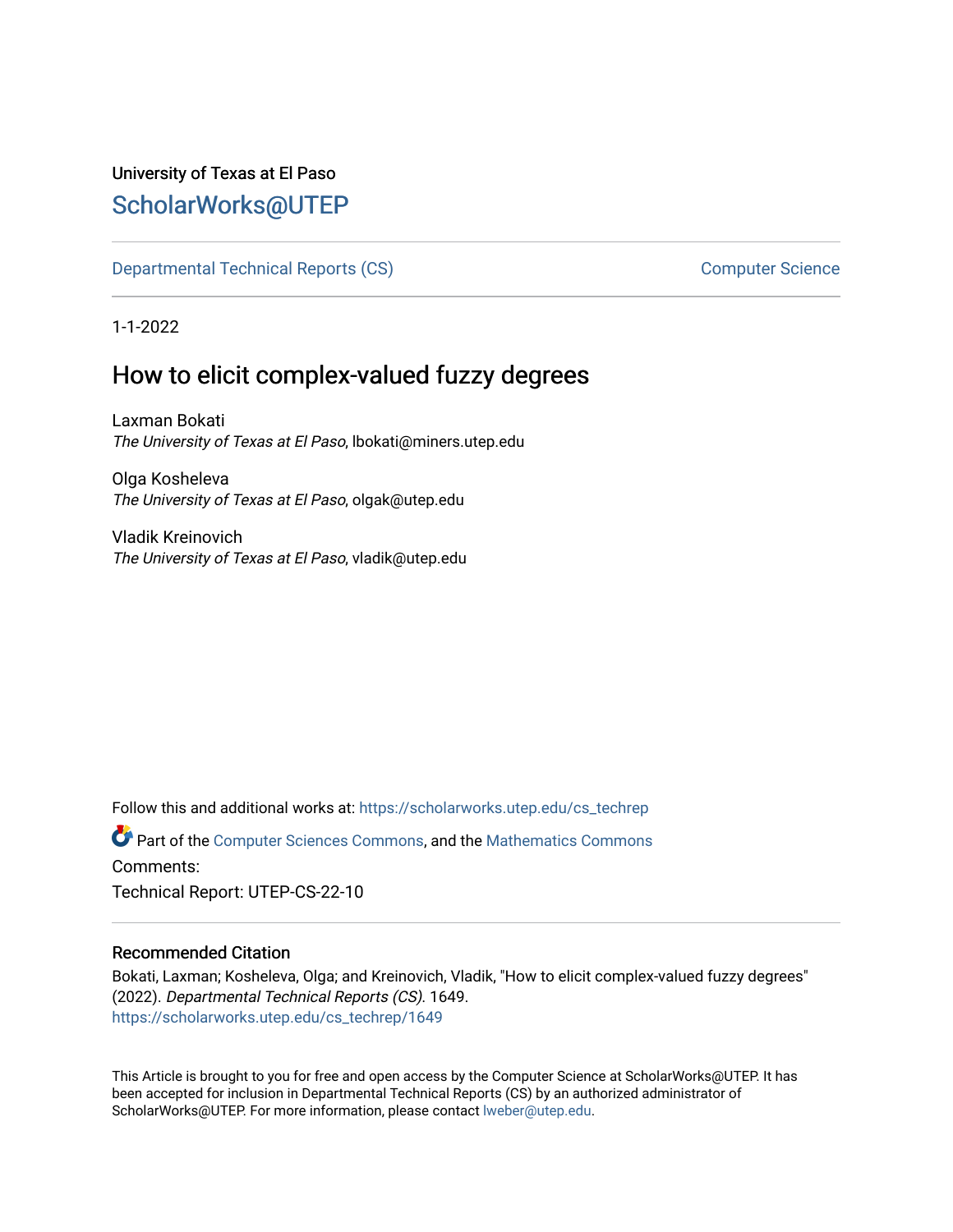# University of Texas at El Paso [ScholarWorks@UTEP](https://scholarworks.utep.edu/)

[Departmental Technical Reports \(CS\)](https://scholarworks.utep.edu/cs_techrep) [Computer Science](https://scholarworks.utep.edu/computer) 

1-1-2022

# How to elicit complex-valued fuzzy degrees

Laxman Bokati The University of Texas at El Paso, lbokati@miners.utep.edu

Olga Kosheleva The University of Texas at El Paso, olgak@utep.edu

Vladik Kreinovich The University of Texas at El Paso, vladik@utep.edu

Follow this and additional works at: [https://scholarworks.utep.edu/cs\\_techrep](https://scholarworks.utep.edu/cs_techrep?utm_source=scholarworks.utep.edu%2Fcs_techrep%2F1649&utm_medium=PDF&utm_campaign=PDFCoverPages) 

Part of the [Computer Sciences Commons](http://network.bepress.com/hgg/discipline/142?utm_source=scholarworks.utep.edu%2Fcs_techrep%2F1649&utm_medium=PDF&utm_campaign=PDFCoverPages), and the [Mathematics Commons](http://network.bepress.com/hgg/discipline/174?utm_source=scholarworks.utep.edu%2Fcs_techrep%2F1649&utm_medium=PDF&utm_campaign=PDFCoverPages)  Comments:

Technical Report: UTEP-CS-22-10

## Recommended Citation

Bokati, Laxman; Kosheleva, Olga; and Kreinovich, Vladik, "How to elicit complex-valued fuzzy degrees" (2022). Departmental Technical Reports (CS). 1649. [https://scholarworks.utep.edu/cs\\_techrep/1649](https://scholarworks.utep.edu/cs_techrep/1649?utm_source=scholarworks.utep.edu%2Fcs_techrep%2F1649&utm_medium=PDF&utm_campaign=PDFCoverPages) 

This Article is brought to you for free and open access by the Computer Science at ScholarWorks@UTEP. It has been accepted for inclusion in Departmental Technical Reports (CS) by an authorized administrator of ScholarWorks@UTEP. For more information, please contact [lweber@utep.edu](mailto:lweber@utep.edu).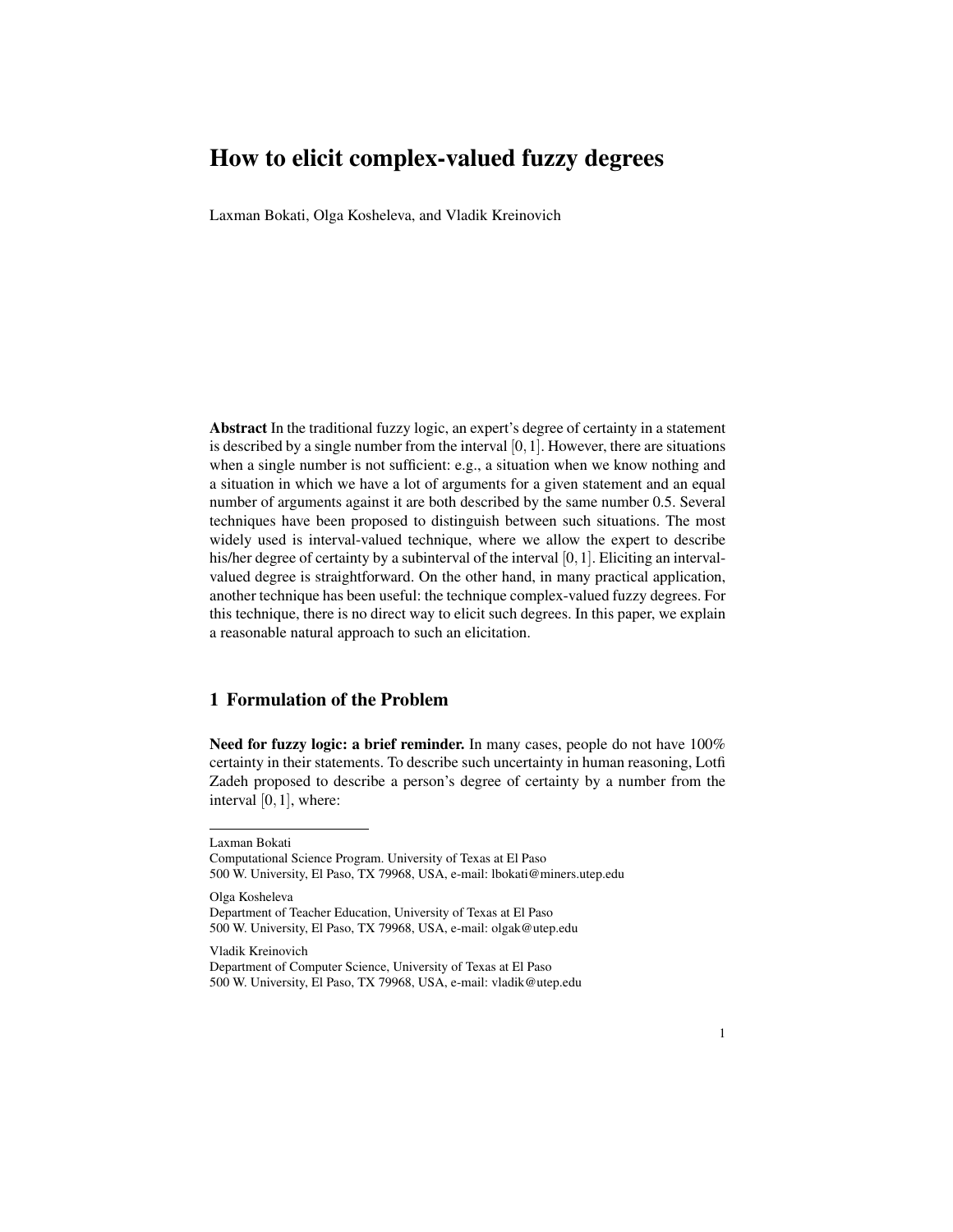Laxman Bokati, Olga Kosheleva, and Vladik Kreinovich

Abstract In the traditional fuzzy logic, an expert's degree of certainty in a statement is described by a single number from the interval  $[0,1]$ . However, there are situations when a single number is not sufficient: e.g., a situation when we know nothing and a situation in which we have a lot of arguments for a given statement and an equal number of arguments against it are both described by the same number 0.5. Several techniques have been proposed to distinguish between such situations. The most widely used is interval-valued technique, where we allow the expert to describe his/her degree of certainty by a subinterval of the interval  $[0,1]$ . Eliciting an intervalvalued degree is straightforward. On the other hand, in many practical application, another technique has been useful: the technique complex-valued fuzzy degrees. For this technique, there is no direct way to elicit such degrees. In this paper, we explain a reasonable natural approach to such an elicitation.

## 1 Formulation of the Problem

Need for fuzzy logic: a brief reminder. In many cases, people do not have  $100\%$ certainty in their statements. To describe such uncertainty in human reasoning, Lotfi Zadeh proposed to describe a person's degree of certainty by a number from the interval [0,1], where:

Laxman Bokati

Olga Kosheleva Department of Teacher Education, University of Texas at El Paso 500 W. University, El Paso, TX 79968, USA, e-mail: olgak@utep.edu

Vladik Kreinovich

Computational Science Program. University of Texas at El Paso 500 W. University, El Paso, TX 79968, USA, e-mail: lbokati@miners.utep.edu

Department of Computer Science, University of Texas at El Paso 500 W. University, El Paso, TX 79968, USA, e-mail: vladik@utep.edu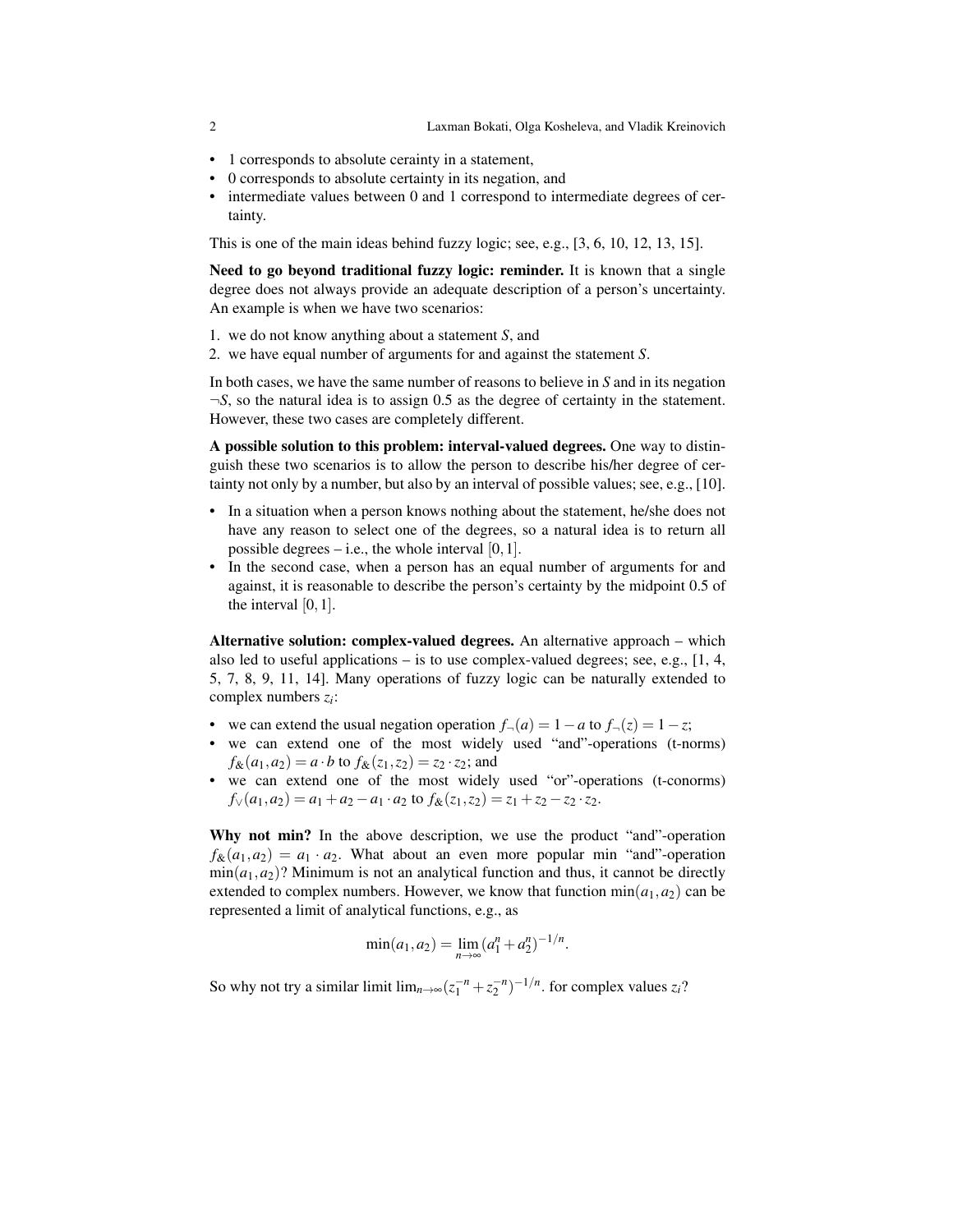- 1 corresponds to absolute cerainty in a statement,
- 0 corresponds to absolute certainty in its negation, and
- intermediate values between 0 and 1 correspond to intermediate degrees of certainty.

This is one of the main ideas behind fuzzy logic; see, e.g., [3, 6, 10, 12, 13, 15].

Need to go beyond traditional fuzzy logic: reminder. It is known that a single degree does not always provide an adequate description of a person's uncertainty. An example is when we have two scenarios:

- 1. we do not know anything about a statement *S*, and
- 2. we have equal number of arguments for and against the statement *S*.

In both cases, we have the same number of reasons to believe in *S* and in its negation ¬*S*, so the natural idea is to assign 0.5 as the degree of certainty in the statement. However, these two cases are completely different.

A possible solution to this problem: interval-valued degrees. One way to distinguish these two scenarios is to allow the person to describe his/her degree of certainty not only by a number, but also by an interval of possible values; see, e.g., [10].

- In a situation when a person knows nothing about the statement, he/she does not have any reason to select one of the degrees, so a natural idea is to return all possible degrees  $-$  i.e., the whole interval  $[0,1]$ .
- In the second case, when a person has an equal number of arguments for and against, it is reasonable to describe the person's certainty by the midpoint 0.5 of the interval [0,1].

Alternative solution: complex-valued degrees. An alternative approach – which also led to useful applications – is to use complex-valued degrees; see, e.g., [1, 4, 5, 7, 8, 9, 11, 14]. Many operations of fuzzy logic can be naturally extended to complex numbers *z<sup>i</sup>* :

- we can extend the usual negation operation  $f_{\neg}(a) = 1 a$  to  $f_{\neg}(z) = 1 z$ ;
- we can extend one of the most widely used "and"-operations (t-norms)  $f_{\&}(a_1, a_2) = a \cdot b$  to  $f_{\&}(z_1, z_2) = z_2 \cdot z_2$ ; and
- we can extend one of the most widely used "or"-operations (t-conorms)  $f_{\vee}(a_1, a_2) = a_1 + a_2 - a_1 \cdot a_2$  to  $f_{\&}(z_1, z_2) = z_1 + z_2 - z_2 \cdot z_2$ .

Why not min? In the above description, we use the product "and"-operation  $f_{\mathcal{X}}(a_1, a_2) = a_1 \cdot a_2$ . What about an even more popular min "and"-operation  $min(a_1, a_2)$ ? Minimum is not an analytical function and thus, it cannot be directly extended to complex numbers. However, we know that function  $min(a_1, a_2)$  can be represented a limit of analytical functions, e.g., as

$$
\min(a_1, a_2) = \lim_{n \to \infty} (a_1^n + a_2^n)^{-1/n}.
$$

So why not try a similar limit  $\lim_{n\to\infty} (z_1^{-n} + z_2^{-n})^{-1/n}$ . for complex values  $z_i$ ?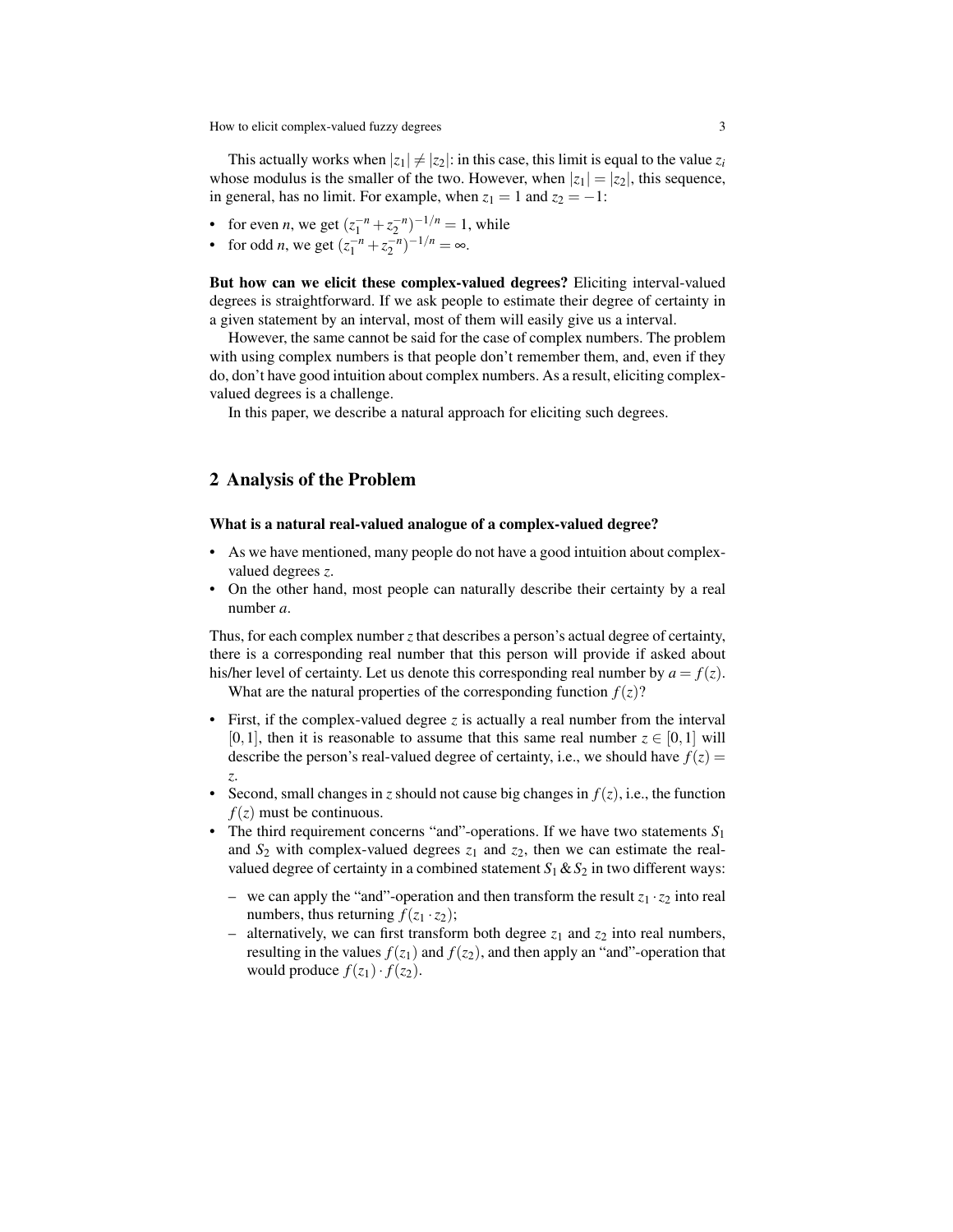This actually works when  $|z_1| \neq |z_2|$ : in this case, this limit is equal to the value  $z_i$ whose modulus is the smaller of the two. However, when  $|z_1| = |z_2|$ , this sequence, in general, has no limit. For example, when  $z_1 = 1$  and  $z_2 = -1$ :

- for even *n*, we get  $(z_1^{-n} + z_2^{-n})^{-1/n} = 1$ , while
- for odd *n*, we get  $(z_1^{-n} + z_2^{-n})^{-1/n} = \infty$ .

But how can we elicit these complex-valued degrees? Eliciting interval-valued degrees is straightforward. If we ask people to estimate their degree of certainty in a given statement by an interval, most of them will easily give us a interval.

However, the same cannot be said for the case of complex numbers. The problem with using complex numbers is that people don't remember them, and, even if they do, don't have good intuition about complex numbers. As a result, eliciting complexvalued degrees is a challenge.

In this paper, we describe a natural approach for eliciting such degrees.

### 2 Analysis of the Problem

#### What is a natural real-valued analogue of a complex-valued degree?

- As we have mentioned, many people do not have a good intuition about complexvalued degrees *z*.
- On the other hand, most people can naturally describe their certainty by a real number *a*.

Thus, for each complex number *z* that describes a person's actual degree of certainty, there is a corresponding real number that this person will provide if asked about his/her level of certainty. Let us denote this corresponding real number by  $a = f(z)$ .

What are the natural properties of the corresponding function  $f(z)$ ?

- First, if the complex-valued degree *z* is actually a real number from the interval  $[0,1]$ , then it is reasonable to assume that this same real number  $z \in [0,1]$  will describe the person's real-valued degree of certainty, i.e., we should have  $f(z) =$ *z*.
- Second, small changes in *z* should not cause big changes in  $f(z)$ , i.e., the function  $f(z)$  must be continuous.
- The third requirement concerns "and"-operations. If we have two statements *S*<sup>1</sup> and  $S_2$  with complex-valued degrees  $z_1$  and  $z_2$ , then we can estimate the realvalued degree of certainty in a combined statement  $S_1 \& S_2$  in two different ways:
	- we can apply the "and"-operation and then transform the result  $z_1 \cdot z_2$  into real numbers, thus returning  $f(z_1 \cdot z_2)$ ;
	- alternatively, we can first transform both degree  $z_1$  and  $z_2$  into real numbers, resulting in the values  $f(z_1)$  and  $f(z_2)$ , and then apply an "and"-operation that would produce  $f(z_1) \cdot f(z_2)$ .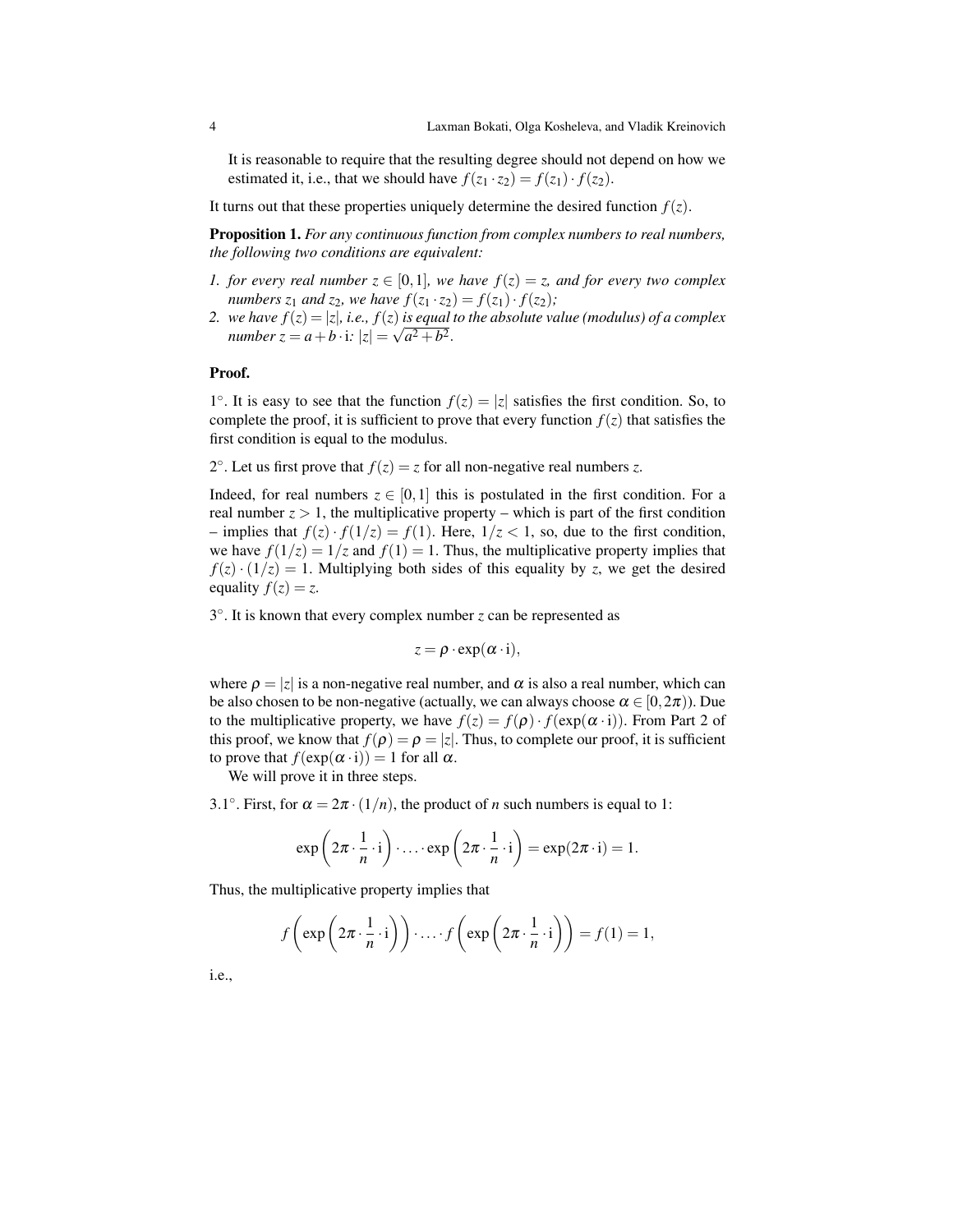It is reasonable to require that the resulting degree should not depend on how we estimated it, i.e., that we should have  $f(z_1 \cdot z_2) = f(z_1) \cdot f(z_2)$ .

It turns out that these properties uniquely determine the desired function  $f(z)$ .

Proposition 1. *For any continuous function from complex numbers to real numbers, the following two conditions are equivalent:*

- *1. for every real number*  $z \in [0,1]$ *, we have*  $f(z) = z$ *, and for every two complex numbers*  $z_1$  *and*  $z_2$ *, we have*  $f(z_1 \cdot z_2) = f(z_1) \cdot f(z_2)$ *;*
- 2. *we have*  $f(z) = |z|$ *, i.e.,*  $f(z)$  *is equal to the absolute value (modulus) of a complex number*  $z = a + b \cdot i$ *:*  $|z| = \sqrt{a^2 + b^2}$ .

#### Proof.

1°. It is easy to see that the function  $f(z) = |z|$  satisfies the first condition. So, to complete the proof, it is sufficient to prove that every function  $f(z)$  that satisfies the first condition is equal to the modulus.

2°. Let us first prove that  $f(z) = z$  for all non-negative real numbers *z*.

Indeed, for real numbers  $z \in [0,1]$  this is postulated in the first condition. For a real number  $z > 1$ , the multiplicative property – which is part of the first condition – implies that  $f(z) \cdot f(1/z) = f(1)$ . Here,  $1/z < 1$ , so, due to the first condition, we have  $f(1/z) = 1/z$  and  $f(1) = 1$ . Thus, the multiplicative property implies that  $f(z) \cdot (1/z) = 1$ . Multiplying both sides of this equality by *z*, we get the desired equality  $f(z) = z$ .

3 ◦ . It is known that every complex number *z* can be represented as

$$
z = \rho \cdot \exp(\alpha \cdot i),
$$

where  $\rho = |z|$  is a non-negative real number, and  $\alpha$  is also a real number, which can be also chosen to be non-negative (actually, we can always choose  $\alpha \in [0, 2\pi)$ ). Due to the multiplicative property, we have  $f(z) = f(\rho) \cdot f(\exp(\alpha \cdot i))$ . From Part 2 of this proof, we know that  $f(\rho) = \rho = |z|$ . Thus, to complete our proof, it is sufficient to prove that  $f(\exp(\alpha \cdot i)) = 1$  for all  $\alpha$ .

We will prove it in three steps.

3.1°. First, for  $\alpha = 2\pi \cdot (1/n)$ , the product of *n* such numbers is equal to 1:

$$
\exp\left(2\pi \cdot \frac{1}{n} \cdot i\right) \cdot \ldots \cdot \exp\left(2\pi \cdot \frac{1}{n} \cdot i\right) = \exp(2\pi \cdot i) = 1.
$$

Thus, the multiplicative property implies that

$$
f\left(\exp\left(2\pi\cdot\frac{1}{n}\cdot i\right)\right)\cdot\ldots\cdot f\left(\exp\left(2\pi\cdot\frac{1}{n}\cdot i\right)\right)=f(1)=1,
$$

i.e.,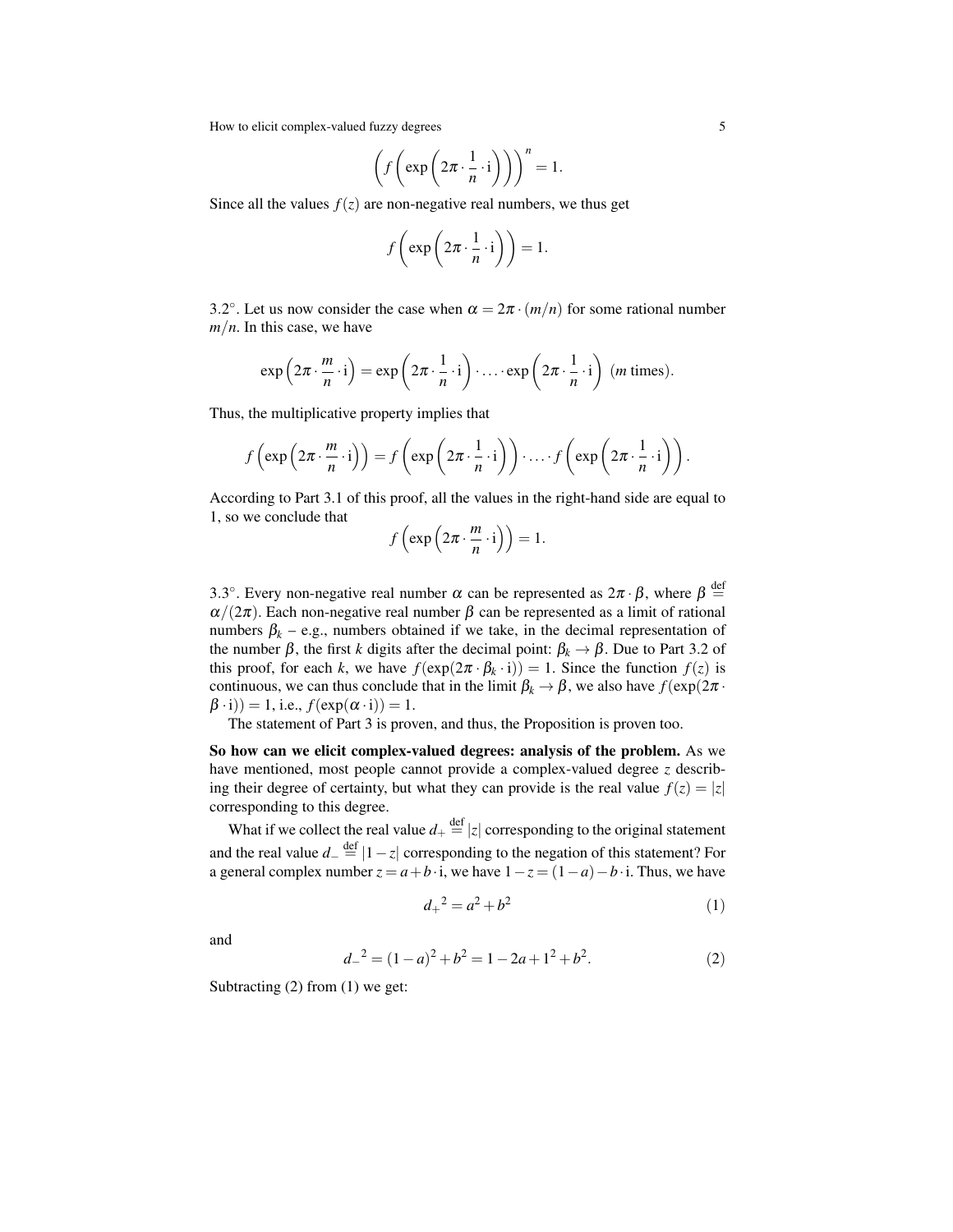$$
\left(f\left(\exp\left(2\pi\cdot\frac{1}{n}\cdot i\right)\right)\right)^n=1.
$$

Since all the values  $f(z)$  are non-negative real numbers, we thus get

$$
f\left(\exp\left(2\pi\cdot\frac{1}{n}\cdot\mathrm{i}\right)\right)=1.
$$

3.2°. Let us now consider the case when  $\alpha = 2\pi \cdot (m/n)$  for some rational number *m*/*n*. In this case, we have

$$
\exp\left(2\pi \cdot \frac{m}{n} \cdot i\right) = \exp\left(2\pi \cdot \frac{1}{n} \cdot i\right) \cdot \ldots \cdot \exp\left(2\pi \cdot \frac{1}{n} \cdot i\right) \text{ (m times)}.
$$

Thus, the multiplicative property implies that

$$
f\left(\exp\left(2\pi \cdot \frac{m}{n} \cdot i\right)\right) = f\left(\exp\left(2\pi \cdot \frac{1}{n} \cdot i\right)\right) \cdot \ldots \cdot f\left(\exp\left(2\pi \cdot \frac{1}{n} \cdot i\right)\right).
$$

According to Part 3.1 of this proof, all the values in the right-hand side are equal to 1, so we conclude that

$$
f\left(\exp\left(2\pi\cdot\frac{m}{n}\cdot\mathrm{i}\right)\right)=1.
$$

3.3°. Every non-negative real number  $\alpha$  can be represented as  $2\pi \cdot \beta$ , where  $\beta \stackrel{\text{def}}{=}$  $\alpha/(2\pi)$ . Each non-negative real number  $\beta$  can be represented as a limit of rational numbers  $\beta_k$  – e.g., numbers obtained if we take, in the decimal representation of the number  $\beta$ , the first *k* digits after the decimal point:  $\beta_k \rightarrow \beta$ . Due to Part 3.2 of this proof, for each *k*, we have  $f(\exp(2\pi \cdot \beta_k \cdot i)) = 1$ . Since the function  $f(z)$  is continuous, we can thus conclude that in the limit  $\beta_k \to \beta$ , we also have  $f(\exp(2\pi \cdot$  $(\beta \cdot i)) = 1$ , i.e.,  $f(\exp(\alpha \cdot i)) = 1$ .

The statement of Part 3 is proven, and thus, the Proposition is proven too.

So how can we elicit complex-valued degrees: analysis of the problem. As we have mentioned, most people cannot provide a complex-valued degree *z* describing their degree of certainty, but what they can provide is the real value  $f(z) = |z|$ corresponding to this degree.

What if we collect the real value  $d_+ \stackrel{\text{def}}{=} |z|$  corresponding to the original statement and the real value  $d_-\stackrel{\text{def}}{=} |1-z|$  corresponding to the negation of this statement? For a general complex number  $z = a + b \cdot i$ , we have  $1 - z = (1 - a) - b \cdot i$ . Thus, we have

$$
d_+^2 = a^2 + b^2 \tag{1}
$$

and

$$
d_{-}^{2} = (1 - a)^{2} + b^{2} = 1 - 2a + 1^{2} + b^{2}.
$$
 (2)

Subtracting (2) from (1) we get: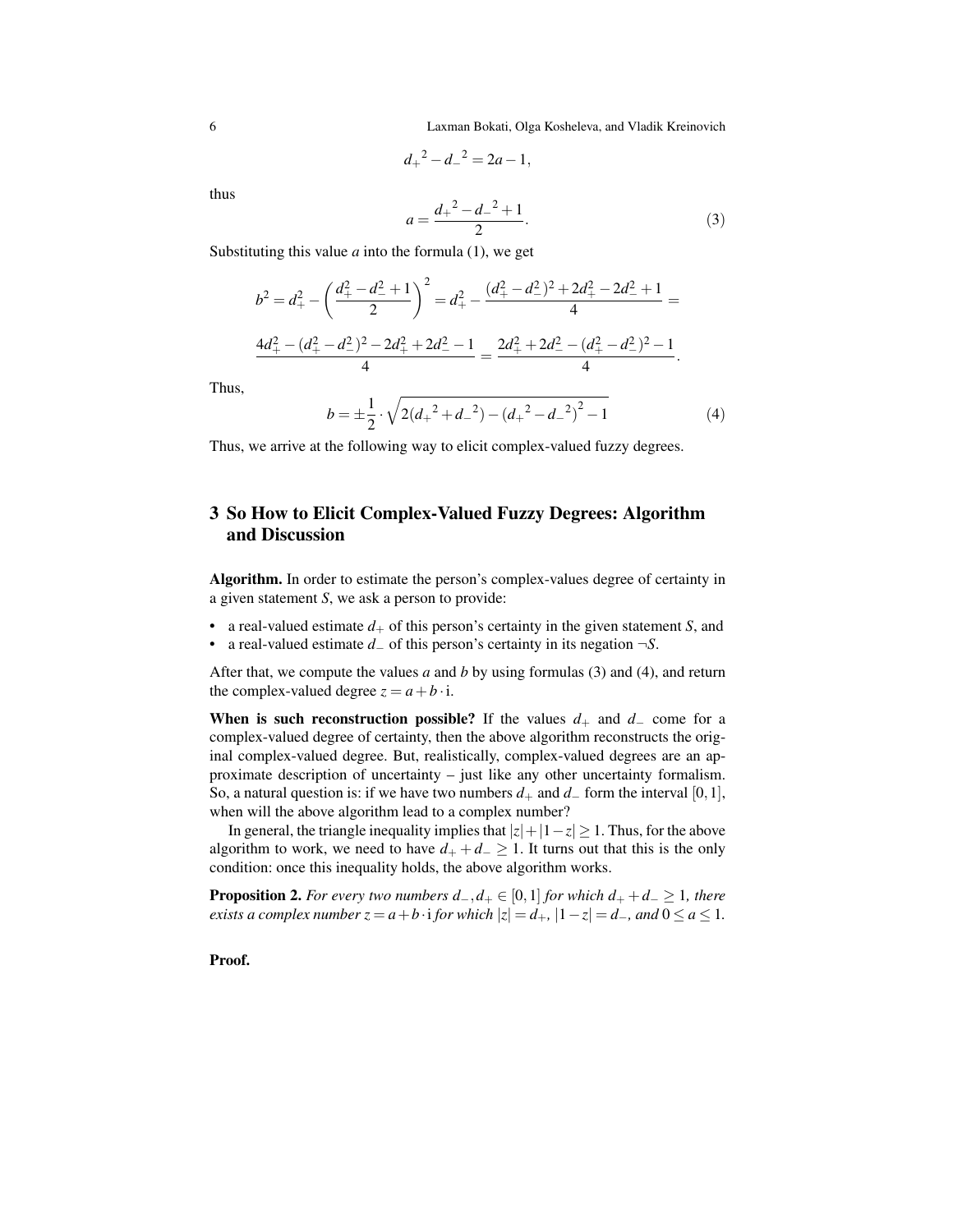6 Laxman Bokati, Olga Kosheleva, and Vladik Kreinovich

$$
d_+{}^2 - d_-{}^2 = 2a - 1,
$$

thus

$$
a = \frac{d_+^2 - d_-^2 + 1}{2}.\tag{3}
$$

Substituting this value  $a$  into the formula  $(1)$ , we get

$$
b^2 = d_+^2 - \left(\frac{d_+^2 - d_-^2 + 1}{2}\right)^2 = d_+^2 - \frac{(d_+^2 - d_-^2)^2 + 2d_+^2 - 2d_-^2 + 1}{4} =
$$
  

$$
\frac{4d_+^2 - (d_+^2 - d_-^2)^2 - 2d_+^2 + 2d_-^2 - 1}{4} = \frac{2d_+^2 + 2d_-^2 - (d_+^2 - d_-^2)^2 - 1}{4}.
$$

Thus,

$$
b = \pm \frac{1}{2} \cdot \sqrt{2(d_{+}^{2} + d_{-}^{2}) - (d_{+}^{2} - d_{-}^{2})^{2} - 1}
$$
 (4)

Thus, we arrive at the following way to elicit complex-valued fuzzy degrees.

# 3 So How to Elicit Complex-Valued Fuzzy Degrees: Algorithm and Discussion

Algorithm. In order to estimate the person's complex-values degree of certainty in a given statement *S*, we ask a person to provide:

- a real-valued estimate  $d_+$  of this person's certainty in the given statement *S*, and
- a real-valued estimate *d*<sup>−</sup> of this person's certainty in its negation ¬*S*.

After that, we compute the values *a* and *b* by using formulas (3) and (4), and return the complex-valued degree  $z = a + b \cdot i$ .

When is such reconstruction possible? If the values  $d_+$  and  $d_-$  come for a complex-valued degree of certainty, then the above algorithm reconstructs the original complex-valued degree. But, realistically, complex-valued degrees are an approximate description of uncertainty – just like any other uncertainty formalism. So, a natural question is: if we have two numbers  $d_+$  and  $d_-$  form the interval [0,1], when will the above algorithm lead to a complex number?

In general, the triangle inequality implies that  $|z|+|1-z| \ge 1$ . Thus, for the above algorithm to work, we need to have  $d_{+} + d_{-} \geq 1$ . It turns out that this is the only condition: once this inequality holds, the above algorithm works.

**Proposition 2.** *For every two numbers*  $d_-, d_+ \in [0,1]$  *for which*  $d_+ + d_- \geq 1$ *, there exists a complex number*  $z = a + b \cdot i$  *<i>for which*  $|z| = d_+$ ,  $|1 - z| = d_-$ , and  $0 \le a \le 1$ .

Proof.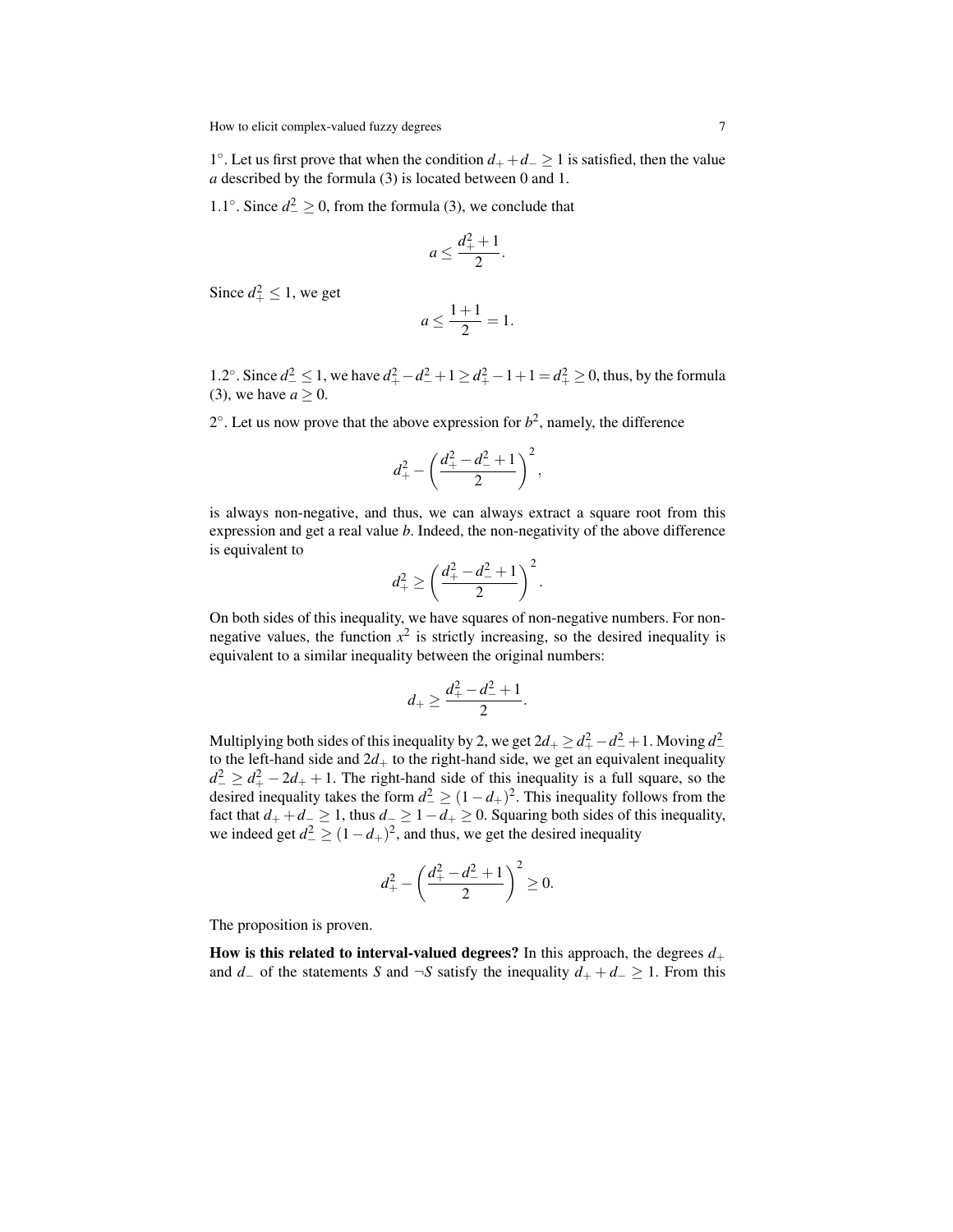1 ◦ . Let us first prove that when the condition *d*<sup>+</sup> +*d*<sup>−</sup> ≥ 1 is satisfied, then the value *a* described by the formula (3) is located between 0 and 1.

1.1°. Since  $d_{-}^{2} \ge 0$ , from the formula (3), we conclude that

$$
a\leq \frac{d_+^2+1}{2}.
$$

Since  $d^2_+ \leq 1$ , we get

$$
a \le \frac{1+1}{2} = 1.
$$

1.2°. Since  $d_{-}^{2} \le 1$ , we have  $d_{+}^{2} - d_{-}^{2} + 1 \ge d_{+}^{2} - 1 + 1 = d_{+}^{2} \ge 0$ , thus, by the formula (3), we have  $a \ge 0$ .

 $2^{\circ}$ . Let us now prove that the above expression for  $b^2$ , namely, the difference

$$
d_+^2 - \left(\frac{d_+^2 - d_-^2 + 1}{2}\right)^2,
$$

is always non-negative, and thus, we can always extract a square root from this expression and get a real value *b*. Indeed, the non-negativity of the above difference is equivalent to

$$
d_+^2 \ge \left(\frac{d_+^2-d_-^2+1}{2}\right)^2.
$$

On both sides of this inequality, we have squares of non-negative numbers. For nonnegative values, the function  $x^2$  is strictly increasing, so the desired inequality is equivalent to a similar inequality between the original numbers:

$$
d_+\geq \frac{d_+^2-d_-^2+1}{2}.
$$

Multiplying both sides of this inequality by 2, we get  $2d_+ \geq d_+^2 - d_-^2 + 1$ . Moving  $d_-^2$ to the left-hand side and  $2d_+$  to the right-hand side, we get an equivalent inequality  $d_{-}^2 \geq d_{+}^2 - 2d_{+} + 1$ . The right-hand side of this inequality is a full square, so the desired inequality takes the form  $d_{-}^2 \geq (1 - d_{+})^2$ . This inequality follows from the fact that  $d_+ + d_-\geq 1$ , thus  $d_-\geq 1-d_+\geq 0$ . Squaring both sides of this inequality, we indeed get  $d^2 \ge (1 - d_+)^2$ , and thus, we get the desired inequality

$$
d_+^2 - \left(\frac{d_+^2 - d_-^2 + 1}{2}\right)^2 \ge 0.
$$

The proposition is proven.

How is this related to interval-valued degrees? In this approach, the degrees  $d_+$ and *d* − of the statements *S* and  $\neg$ *S* satisfy the inequality *d*<sub>+</sub> + *d* − 2 1. From this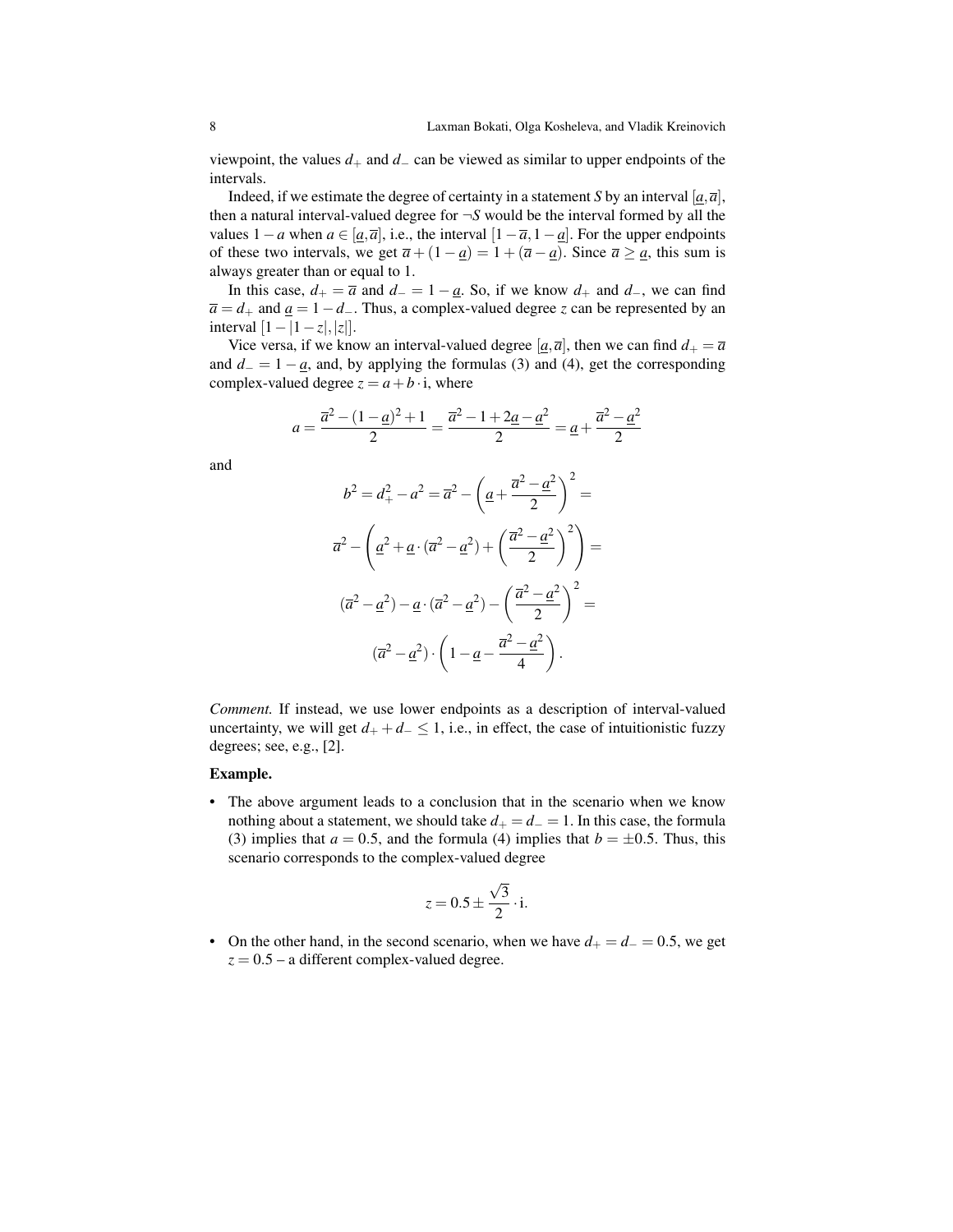viewpoint, the values  $d_+$  and  $d_-$  can be viewed as similar to upper endpoints of the intervals.

Indeed, if we estimate the degree of certainty in a statement *S* by an interval  $[a, \overline{a}]$ , then a natural interval-valued degree for  $\neg S$  would be the interval formed by all the values  $1-a$  when  $a \in [a,\overline{a}]$ , i.e., the interval  $[1-\overline{a},1-a]$ . For the upper endpoints of these two intervals, we get  $\overline{a} + (1 - \underline{a}) = 1 + (\overline{a} - \underline{a})$ . Since  $\overline{a} \ge \underline{a}$ , this sum is always greater than or equal to 1.

In this case,  $d_{+} = \overline{a}$  and  $d_{-} = 1 - \underline{a}$ . So, if we know  $d_{+}$  and  $d_{-}$ , we can find  $\overline{a} = d_+$  and  $\underline{a} = 1 - d_-.$  Thus, a complex-valued degree *z* can be represented by an interval  $[1−|1−z|,|z|].$ 

Vice versa, if we know an interval-valued degree  $[\underline{a}, \overline{a}]$ , then we can find  $d_+ = \overline{a}$ and  $d_$  = 1 −  $\underline{a}$ , and, by applying the formulas (3) and (4), get the corresponding complex-valued degree  $z = a + b \cdot i$ , where

$$
a = \frac{\overline{a}^2 - (1 - \underline{a})^2 + 1}{2} = \frac{\overline{a}^2 - 1 + 2\underline{a} - \underline{a}^2}{2} = \underline{a} + \frac{\overline{a}^2 - \underline{a}^2}{2}
$$

and

$$
b^2 = d_+^2 - a^2 = \overline{a}^2 - \left(\underline{a} + \frac{\overline{a}^2 - \underline{a}^2}{2}\right)^2 =
$$
  

$$
\overline{a}^2 - \left(\underline{a}^2 + \underline{a} \cdot (\overline{a}^2 - \underline{a}^2) + \left(\frac{\overline{a}^2 - \underline{a}^2}{2}\right)^2\right) =
$$
  

$$
(\overline{a}^2 - \underline{a}^2) - \underline{a} \cdot (\overline{a}^2 - \underline{a}^2) - \left(\frac{\overline{a}^2 - \underline{a}^2}{2}\right)^2 =
$$
  

$$
(\overline{a}^2 - \underline{a}^2) \cdot \left(1 - \underline{a} - \frac{\overline{a}^2 - \underline{a}^2}{4}\right).
$$

*Comment.* If instead, we use lower endpoints as a description of interval-valued uncertainty, we will get  $d_+ + d_- \leq 1$ , i.e., in effect, the case of intuitionistic fuzzy degrees; see, e.g., [2].

#### Example.

• The above argument leads to a conclusion that in the scenario when we know nothing about a statement, we should take  $d_{+} = d_{-} = 1$ . In this case, the formula (3) implies that  $a = 0.5$ , and the formula (4) implies that  $b = \pm 0.5$ . Thus, this scenario corresponds to the complex-valued degree

$$
z = 0.5 \pm \frac{\sqrt{3}}{2} \cdot i.
$$

• On the other hand, in the second scenario, when we have  $d_{+} = d_{-} = 0.5$ , we get  $z = 0.5 - a$  different complex-valued degree.